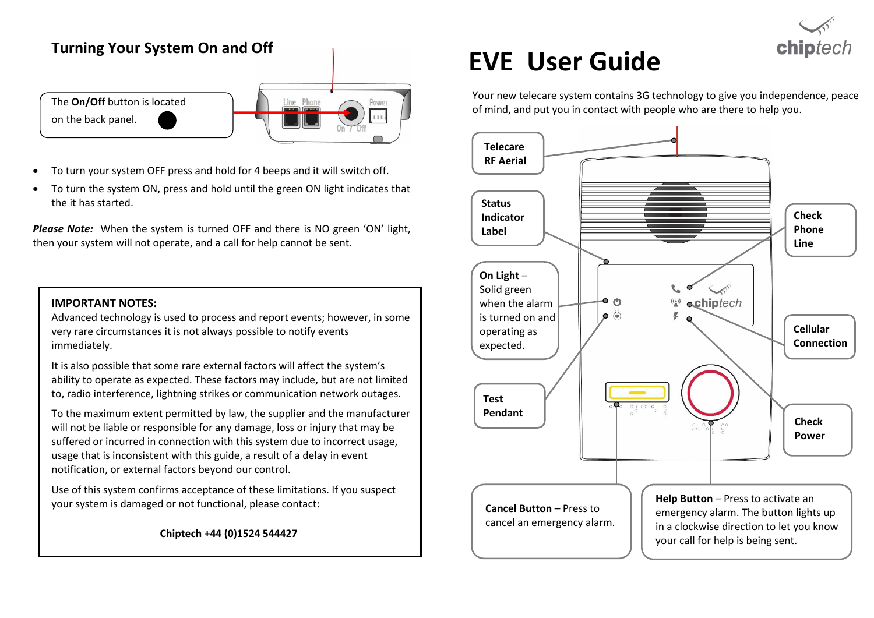# **Turning Your System On and Off**



- To turn your system OFF press and hold for 4 beeps and it will switch off.
- To turn the system ON, press and hold until the green ON light indicates that the it has started.

*Please Note:* When the system is turned OFF and there is NO green 'ON' light, then your system will not operate, and a call for help cannot be sent.

#### **IMPORTANT NOTES:**

Advanced technology is used to process and report events; however, in some very rare circumstances it is not always possible to notify events immediately.

It is also possible that some rare external factors will affect the system's ability to operate as expected. These factors may include, but are not limited to, radio interference, lightning strikes or communication network outages.

To the maximum extent permitted by law, the supplier and the manufacturer will not be liable or responsible for any damage, loss or injury that may be suffered or incurred in connection with this system due to incorrect usage, usage that is inconsistent with this guide, a result of a delay in event notification, or external factors beyond our control.

Use of this system confirms acceptance of these limitations. If you suspect your system is damaged or not functional, please contact:

 **Chiptech +44 (0)1524 544427**

# **EVE User Guide**

Your new telecare system contains 3G technology to give you independence, peace of mind, and put you in contact with people who are there to help you.